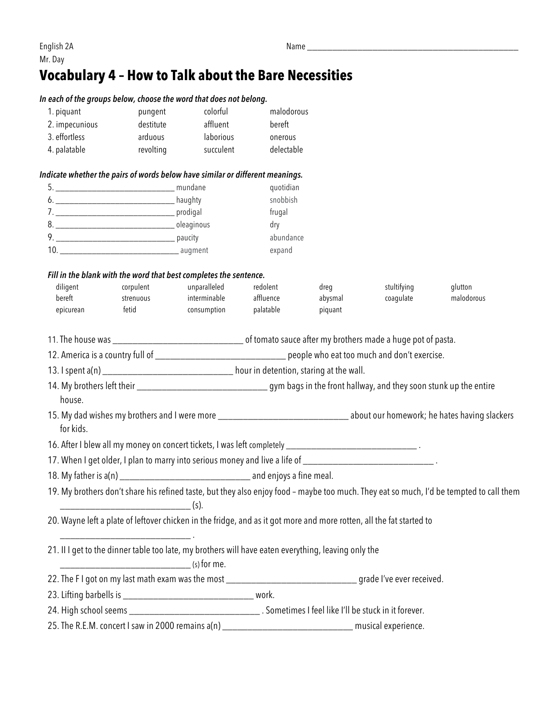## **Vocabulary 4 – How to Talk about the Bare Necessities**

|                | In each of the groups below, choose the word that does not belong.                                                               |              |                                                                                                                               |                                                                                                       |             |                                                                                                                                         |  |
|----------------|----------------------------------------------------------------------------------------------------------------------------------|--------------|-------------------------------------------------------------------------------------------------------------------------------|-------------------------------------------------------------------------------------------------------|-------------|-----------------------------------------------------------------------------------------------------------------------------------------|--|
| 1. piquant     | pungent                                                                                                                          | colorful     | malodorous                                                                                                                    |                                                                                                       |             |                                                                                                                                         |  |
| 2. impecunious | destitute                                                                                                                        | affluent     | bereft                                                                                                                        |                                                                                                       |             |                                                                                                                                         |  |
| 3. effortless  | arduous                                                                                                                          | laborious    | onerous                                                                                                                       |                                                                                                       |             |                                                                                                                                         |  |
| 4. palatable   | revolting                                                                                                                        | succulent    | delectable                                                                                                                    |                                                                                                       |             |                                                                                                                                         |  |
|                | Indicate whether the pairs of words below have similar or different meanings.                                                    |              |                                                                                                                               |                                                                                                       |             |                                                                                                                                         |  |
|                |                                                                                                                                  |              | quotidian                                                                                                                     |                                                                                                       |             |                                                                                                                                         |  |
|                |                                                                                                                                  | snobbish     |                                                                                                                               |                                                                                                       |             |                                                                                                                                         |  |
|                |                                                                                                                                  | frugal       |                                                                                                                               |                                                                                                       |             |                                                                                                                                         |  |
|                |                                                                                                                                  |              | dry                                                                                                                           |                                                                                                       |             |                                                                                                                                         |  |
|                |                                                                                                                                  | abundance    |                                                                                                                               |                                                                                                       |             |                                                                                                                                         |  |
|                |                                                                                                                                  |              | expand                                                                                                                        |                                                                                                       |             |                                                                                                                                         |  |
|                | Fill in the blank with the word that best completes the sentence.                                                                |              |                                                                                                                               |                                                                                                       |             |                                                                                                                                         |  |
| diligent       | corpulent                                                                                                                        | unparalleled | redolent                                                                                                                      | dreg                                                                                                  | stultifying | glutton                                                                                                                                 |  |
| bereft         | strenuous                                                                                                                        | interminable | affluence                                                                                                                     | abysmal                                                                                               | coagulate   | malodorous                                                                                                                              |  |
| epicurean      | fetid                                                                                                                            | consumption  | palatable                                                                                                                     | piquant                                                                                               |             |                                                                                                                                         |  |
|                |                                                                                                                                  |              |                                                                                                                               |                                                                                                       |             |                                                                                                                                         |  |
|                |                                                                                                                                  |              | 12. America is a country full of _________________________________ people who eat too much and don't exercise.                |                                                                                                       |             |                                                                                                                                         |  |
|                | 13. I spent a(n) ______________________________ hour in detention, staring at the wall.                                          |              |                                                                                                                               |                                                                                                       |             |                                                                                                                                         |  |
| house.         | 14. My brothers left their _________________________________gym bags in the front hallway, and they soon stunk up the entire     |              |                                                                                                                               |                                                                                                       |             |                                                                                                                                         |  |
| for kids.      |                                                                                                                                  |              | 15. My dad wishes my brothers and I were more __________________________________ about our homework; he hates having slackers |                                                                                                       |             |                                                                                                                                         |  |
|                | 16. After I blew all my money on concert tickets, I was left completely _________________________________.                       |              |                                                                                                                               |                                                                                                       |             |                                                                                                                                         |  |
|                | 17. When I get older, I plan to marry into serious money and live a life of _______________________________.                     |              |                                                                                                                               |                                                                                                       |             |                                                                                                                                         |  |
|                |                                                                                                                                  |              |                                                                                                                               |                                                                                                       |             |                                                                                                                                         |  |
|                | $\overline{\hspace{2cm}}(s).$                                                                                                    |              |                                                                                                                               |                                                                                                       |             | 19. My brothers don't share his refined taste, but they also enjoy food - maybe too much. They eat so much, I'd be tempted to call them |  |
|                | 20. Wayne left a plate of leftover chicken in the fridge, and as it got more and more rotten, all the fat started to             |              |                                                                                                                               |                                                                                                       |             |                                                                                                                                         |  |
|                | 21. II I get to the dinner table too late, my brothers will have eaten everything, leaving only the<br>$\frac{1}{1}$ (s) for me. |              |                                                                                                                               |                                                                                                       |             |                                                                                                                                         |  |
|                | 22. The FI got on my last math exam was the most ______________________________grade I've ever received.                         |              |                                                                                                                               |                                                                                                       |             |                                                                                                                                         |  |
|                |                                                                                                                                  |              |                                                                                                                               |                                                                                                       |             |                                                                                                                                         |  |
|                |                                                                                                                                  |              |                                                                                                                               |                                                                                                       |             |                                                                                                                                         |  |
|                |                                                                                                                                  |              |                                                                                                                               | 25. The R.E.M. concert I saw in 2000 remains a(n) _______________________________ musical experience. |             |                                                                                                                                         |  |